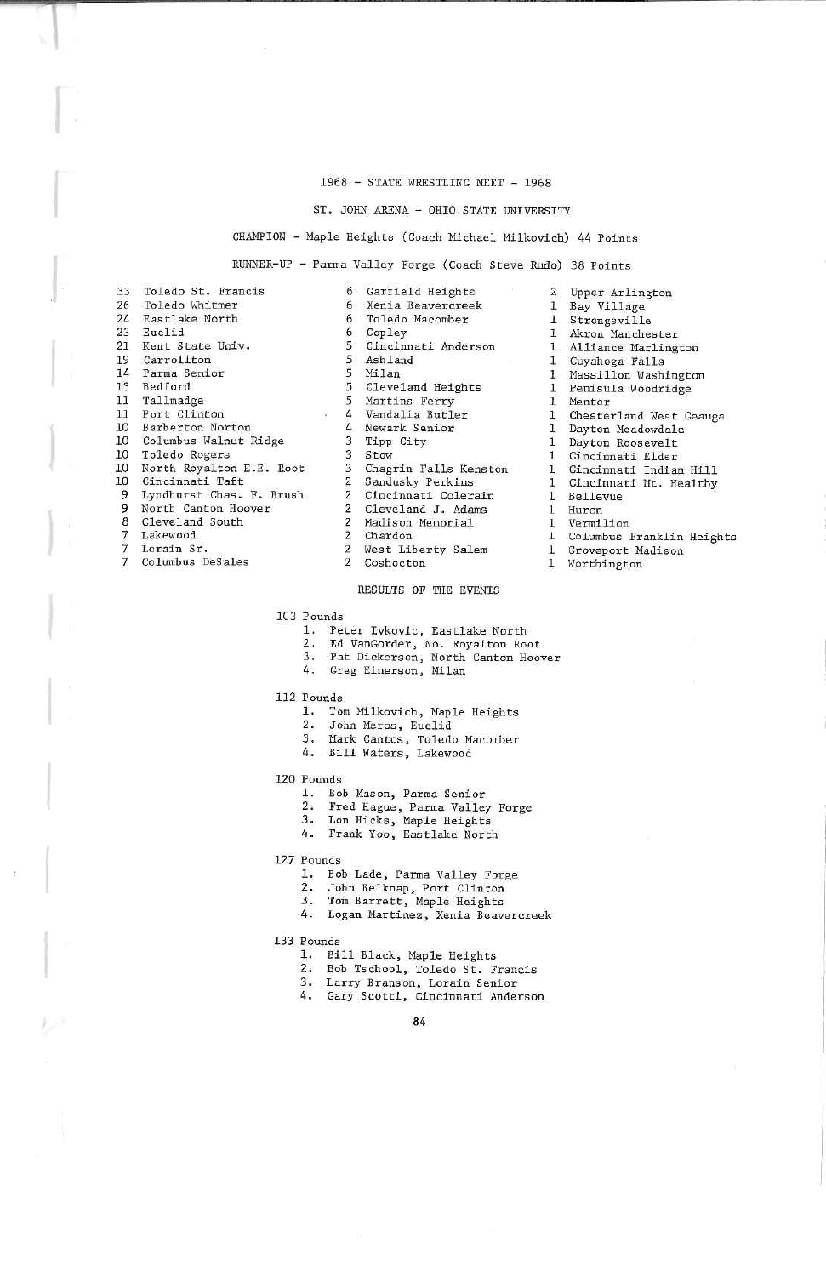### 1968 - STATE WRESTLING MEET - 1968

### ST. JOHN AEENA - OHIO STATE UNIVERSITY

# CHAMPION - Maple Heights (Caach Michael Hilkovich) 44 Points

EUNEER-UF - Farma Valley Forge (Coach Steve Rudo) 38 Points

|                | 33 Toledo St. Francis    |
|----------------|--------------------------|
|                | 26 Toledo Whitmer        |
|                | 24 Eastlake North        |
| 23             | Euclid                   |
|                | 21 Kent State Univ.      |
|                | 19 Carrollton            |
|                | 14 Parma Senior          |
| 13             | Bedford                  |
|                | 11 Tallmadge             |
| 11             | Port Clinton             |
| 10             | Barberton Norton         |
| 10             | Columbus Walnut Ridge    |
| 10             | Toledo Rogers            |
| 10             | North Royalton E.E. Root |
| 10             | Cincinnati Taft          |
| 9              | Lyndhurst Chas. F. Brush |
| 9              | North Canton Hoover      |
| 8              | Cleveland South          |
| $\overline{7}$ | Lakewood                 |

- 
- 7 Lorain Sr.7 Columbus DeSales
- 
- 6 Xenia Beavercreek 6 6 5 3 s 5 5 4 4 3 3 3 2 2 2 2 2 2Garfield Heights Toledo HacomberCop ley Cincinnati AndersonAsh landMilan Cleveland HeightsMartins FerryVandalia Butler Newark SeniorIipp CityStow Chagrin Falls Kens tonSandusky Perkins Cincinnati ColerainCleveland J. Adams Madison MemorialChardon
	- West Liberty Salem
- 2Coshocton

## RESULTS OF THE EVENTS

103 Founds

- 1. Peter Ivkovic, Eastlake North
- 2. Ed VanGorder, No. Koyaltan Root
- 3. Pat Dickerson, North Canton Hoove<br>4. Greg Einerson, Milan
- 

112 Pounds

- 1. Tom Mllkovich, Maple Heights
- 2. John Meros, Euclid
- 3. Mark Cantos, Toledo Macomber
- 4. Bill Waters. Lakewood

120 Founds

- 1. Bob Mason, Parma Senior
- Fred Hague, Parma Valley Forge
- 3. Lon Hicks, Maple Heights
- 
- 4. Frank Yoa, Eastlake North

127 Pounds

- 1. Bob Lade, Parma Valley Forge
	-
- 2. John Belknap, Port Clinton<br>3. Tom Barrett, Maple Heights 3. Tom Barrett, Maple Heights
- 4. Logan Martines, Xenia Beavercreek
- 133 Pounds
	-
	- 1. Bill Black, Maple Heights 2. Bob Tschool, Toledo St. Francis
	- 3. Larry Branson, Lorain Senior
	- 4. Gary Scotti, Cincinnati Anderson

84

2Upper Arlington1 Bay Village l Strongsville 1 Akron Manchester 1 Alliance Marlington1 Penisula Woodridge 1 Mentor 1 Dayton Meadowdale 1 Cincinnati ElderCuyahoga Falls Massillon WashingtonChesterland West Geauga Dayton Roosevelt Cincinnati Indian Hill Cincinnati Mt. Healthy HuronVermilion Columbus Franklin Height

- 
- 1 Groveport Madison
- 
- 1 Worthington
- 1 11
- 11

 11

1

1

Bellevue